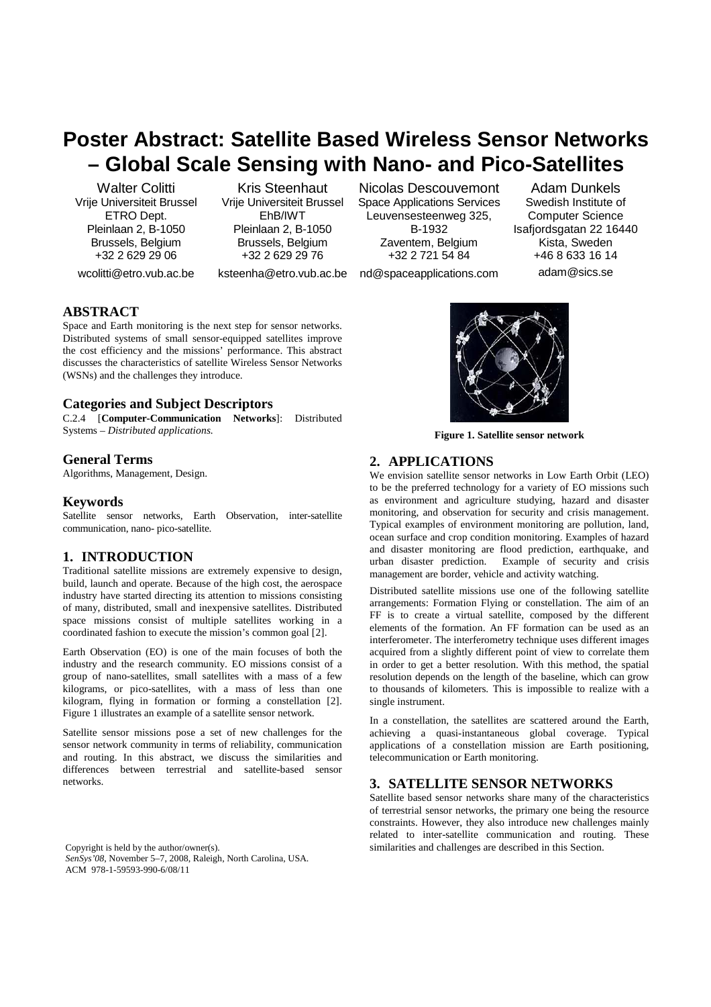# **Poster Abstract: Satellite Based Wireless Sensor Networks – Global Scale Sensing with Nano- and Pico-Satellites**

Walter Colitti Vrije Universiteit Brussel ETRO Dept. Pleinlaan 2, B-1050 Brussels, Belgium +32 2 629 29 06

Kris Steenhaut Vrije Universiteit Brussel EhB/IWT Pleinlaan 2, B-1050 Brussels, Belgium +32 2 629 29 76

wcolitti@etro.vub.ac.be

ksteenha@etro.vub.ac.be

Nicolas Descouvemont Space Applications Services Leuvensesteenweg 325, B-1932 Zaventem, Belgium +32 2 721 54 84

Adam Dunkels Swedish Institute of Computer Science Isafjordsgatan 22 16440 Kista, Sweden +46 8 633 16 14 adam@sics.se

nd@spaceapplications.com

# **ABSTRACT**

Space and Earth monitoring is the next step for sensor networks. Distributed systems of small sensor-equipped satellites improve the cost efficiency and the missions' performance. This abstract discusses the characteristics of satellite Wireless Sensor Networks (WSNs) and the challenges they introduce.

# **Categories and Subject Descriptors**

C.2.4 [**Computer-Communication Networks**]: Distributed Systems – *Distributed applications.* 

# **General Terms**

Algorithms, Management, Design.

# **Keywords**

Satellite sensor networks, Earth Observation, inter-satellite communication, nano- pico-satellite.

# **1. INTRODUCTION**

Traditional satellite missions are extremely expensive to design, build, launch and operate. Because of the high cost, the aerospace industry have started directing its attention to missions consisting of many, distributed, small and inexpensive satellites. Distributed space missions consist of multiple satellites working in a coordinated fashion to execute the mission's common goal [2].

Earth Observation (EO) is one of the main focuses of both the industry and the research community. EO missions consist of a group of nano-satellites, small satellites with a mass of a few kilograms, or pico-satellites, with a mass of less than one kilogram, flying in formation or forming a constellation [2]. Figure 1 illustrates an example of a satellite sensor network.

Satellite sensor missions pose a set of new challenges for the sensor network community in terms of reliability, communication and routing. In this abstract, we discuss the similarities and differences between terrestrial and satellite-based sensor networks.

*SenSys'08*, November 5–7, 2008, Raleigh, North Carolina, USA. ACM 978-1-59593-990-6/08/11



**Figure 1. Satellite sensor network** 

# **2. APPLICATIONS**

We envision satellite sensor networks in Low Earth Orbit (LEO) to be the preferred technology for a variety of EO missions such as environment and agriculture studying, hazard and disaster monitoring, and observation for security and crisis management. Typical examples of environment monitoring are pollution, land, ocean surface and crop condition monitoring. Examples of hazard and disaster monitoring are flood prediction, earthquake, and urban disaster prediction. Example of security and crisis management are border, vehicle and activity watching.

Distributed satellite missions use one of the following satellite arrangements: Formation Flying or constellation. The aim of an FF is to create a virtual satellite, composed by the different elements of the formation. An FF formation can be used as an interferometer. The interferometry technique uses different images acquired from a slightly different point of view to correlate them in order to get a better resolution. With this method, the spatial resolution depends on the length of the baseline, which can grow to thousands of kilometers. This is impossible to realize with a single instrument.

In a constellation, the satellites are scattered around the Earth, achieving a quasi-instantaneous global coverage. Typical applications of a constellation mission are Earth positioning, telecommunication or Earth monitoring.

# **3. SATELLITE SENSOR NETWORKS**

Satellite based sensor networks share many of the characteristics of terrestrial sensor networks, the primary one being the resource constraints. However, they also introduce new challenges mainly related to inter-satellite communication and routing. These Copyright is held by the author/owner(s). similarities and challenges are described in this Section.